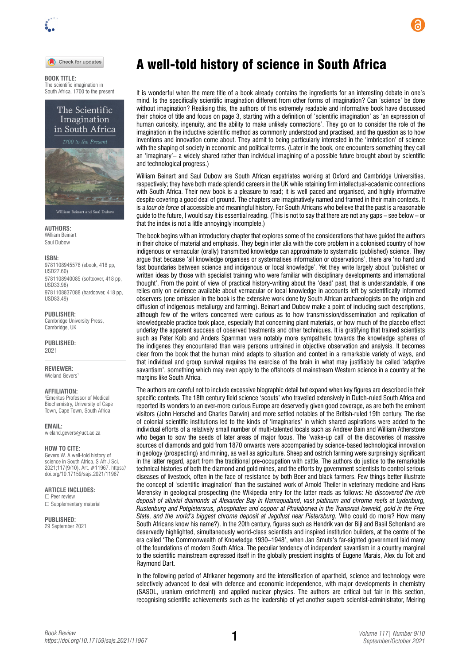

## Check for updates

**BOOK TITLE:**  The scientific imagination in South Africa. 1700 to the present

> The Scientific Imagination in South Africa



**AUTHORS:**  William Beinart Saul Dubow

## **ISBN:**

9781108945578 (ebook, 418 pp, USD27.60) 9781108940085 (softcover, 418 pp, USD33.98) 9781108837088 (hardcover, 418 pp, USD83.49)

**PUBLISHER:**  Cambridge University Press, Cambridge, UK

**PUBLISHED:** 

2021

## **REVIEWER:**

Wieland Gevers<sup>1</sup>

**AFFILIATION:** 

1 Emeritus Professor of Medical Biochemistry, University of Cape Town, Cape Town, South Africa

**EMAIL:**  [wieland.gevers@uct.ac.za](mailto:wieland.gevers@uct.ac.za)

**HOW TO CITE:**  Gevers W. A well-told history of science in South Africa. S Afr J Sci. 2021;117(9/10), Art. #11967. [https://](https://doi.org/10.17159/sajs.2021/11967)

[doi.org/10.17159/sajs.2021/11967](https://doi.org/10.17159/sajs.2021/11967)

**ARTICLE INCLUDES:** ☐ Peer review

□ Supplementary material

**PUBLISHED:**  29 September 2021

## A well-told history of science in South Africa

It is wonderful when the mere title of a book already contains the ingredients for an interesting debate in one's mind. Is the specifically scientific imagination different from other forms of imagination? Can 'science' be done without imagination? Realising this, the authors of this extremely readable and informative book have discussed their choice of title and focus on page 3, starting with a definition of 'scientific imagination' as 'an expression of human curiosity, ingenuity, and the ability to make unlikely connections'. They go on to consider the role of the imagination in the inductive scientific method as commonly understood and practised, and the question as to how inventions and innovation come about. They admit to being particularly interested in the 'imbrication' of science with the shaping of society in economic and political terms. (Later in the book, one encounters something they call an 'imaginary'– a widely shared rather than individual imagining of a possible future brought about by scientific and technological progress.)

William Beinart and Saul Dubow are South African expatriates working at Oxford and Cambridge Universities, respectively; they have both made splendid careers in the UK while retaining firm intellectual-academic connections with South Africa. Their new book is a pleasure to read; it is well paced and organised, and highly informative despite covering a good deal of ground. The chapters are imaginatively named and framed in their main contexts. It is a *tour de force* of accessible and meaningful history. For South Africans who believe that the past is a reasonable guide to the future, I would say it is essential reading. (This is not to say that there are not any gaps – see below – or that the index is not a little annoyingly incomplete.)

The book begins with an introductory chapter that explores some of the considerations that have guided the authors in their choice of material and emphasis. They begin inter alia with the core problem in a colonised country of how indigenous or vernacular (orally) transmitted knowledge can approximate to systematic (published) science. They argue that because 'all knowledge organises or systematises information or observations', there are 'no hard and fast boundaries between science and indigenous or local knowledge'. Yet they write largely about 'published or written ideas by those with specialist training who were familiar with disciplinary developments and international thought'. From the point of view of practical history-writing about the 'dead' past, that is understandable, if one relies only on evidence available about vernacular or local knowledge in accounts left by scientifically informed observers (one omission in the book is the extensive work done by South African archaeologists on the origin and diffusion of indigenous metallurgy and farming). Beinart and Dubow make a point of including such descriptions, although few of the writers concerned were curious as to how transmission/dissemination and replication of knowledgeable practice took place, especially that concerning plant materials, or how much of the placebo effect underlay the apparent success of observed treatments and other techniques. It is gratifying that trained scientists such as Peter Kolb and Anders Sparrman were notably more sympathetic towards the knowledge spheres of the indigenes they encountered than were persons untrained in objective observation and analysis. It becomes clear from the book that the human mind adapts to situation and context in a remarkable variety of ways, and that individual and group survival requires the exercise of the brain in what may justifiably be called 'adaptive savantism', something which may even apply to the offshoots of mainstream Western science in a country at the margins like South Africa.

The authors are careful not to include excessive biographic detail but expand when key figures are described in their specific contexts. The 18th century field science 'scouts' who travelled extensively in Dutch-ruled South Africa and reported its wonders to an ever-more curious Europe are deservedly given good coverage, as are both the eminent visitors (John Herschel and Charles Darwin) and more settled notables of the British-ruled 19th century. The rise of colonial scientific institutions led to the kinds of 'imaginaries' in which shared aspirations were added to the individual efforts of a relatively small number of multi-talented locals such as Andrew Bain and William Atherstone who began to sow the seeds of later areas of major focus. The 'wake-up call' of the discoveries of massive sources of diamonds and gold from 1870 onwards were accompanied by science-based technological innovation in geology (prospecting) and mining, as well as agriculture. Sheep and ostrich farming were surprisingly significant in the latter regard, apart from the traditional pre-occupation with cattle. The authors do justice to the remarkable technical histories of both the diamond and gold mines, and the efforts by government scientists to control serious diseases of livestock, often in the face of resistance by both Boer and black farmers. Few things better illustrate the concept of 'scientific imagination' than the sustained work of Arnold Theiler in veterinary medicine and Hans Merensky in geological prospecting (the Wikipedia entry for the latter reads as follows: *He discovered the rich deposit of [alluvial](https://en.wikipedia.org/wiki/Alluvial) [diamonds](https://en.wikipedia.org/wiki/Diamond) at [Alexander Bay](https://en.wikipedia.org/wiki/Alexander_Bay,_Northern_Cape) in [Namaqualand](https://en.wikipedia.org/wiki/Namaqualand), vast [platinum](https://en.wikipedia.org/wiki/Platinum) and [chrome](https://en.wikipedia.org/wiki/Chromium) reefs at [Lydenburg](https://en.wikipedia.org/wiki/Lydenburg), [Rustenburg](https://en.wikipedia.org/wiki/Rustenburg) and [Potgietersrus,](https://en.wikipedia.org/wiki/Potgietersrus) [phosphates](https://en.wikipedia.org/wiki/Phosphate) and [copper](https://en.wikipedia.org/wiki/Copper) at [Phalaborwa](https://en.wikipedia.org/wiki/Phalaborwa) in the [Transvaal](https://en.wikipedia.org/wiki/Transvaal_Colony) [lowveld](https://en.wikipedia.org/wiki/Lowveld), [gold](https://en.wikipedia.org/wiki/Gold) in the [Free](https://en.wikipedia.org/wiki/Free_State_(South_African_province))  [State,](https://en.wikipedia.org/wiki/Free_State_(South_African_province)) and the world's biggest chrome deposit at Jagdlust near [Pietersburg.](https://en.wikipedia.org/wiki/Pietersburg)* Who could do more? How many South Africans know his name?). In the 20th century, figures such as Hendrik van der Bijl and Basil Schonland are deservedly highlighted, simultaneously world-class scientists and inspired institution builders, at the centre of the era called 'The Commonwealth of Knowledge 1930–1948', when Jan Smuts's far-sighted government laid many of the foundations of modern South Africa. The peculiar tendency of independent savantism in a country marginal to the scientific mainstream expressed itself in the globally prescient insights of Eugene Marais, Alex du Toit and Raymond Dart.

In the following period of Afrikaner hegemony and the intensification of apartheid, science and technology were selectively advanced to deal with defence and economic independence, with major developments in chemistry (SASOL, uranium enrichment) and applied nuclear physics. The authors are critical but fair in this section, recognising scientific achievements such as the leadership of yet another superb scientist-administrator, Meiring